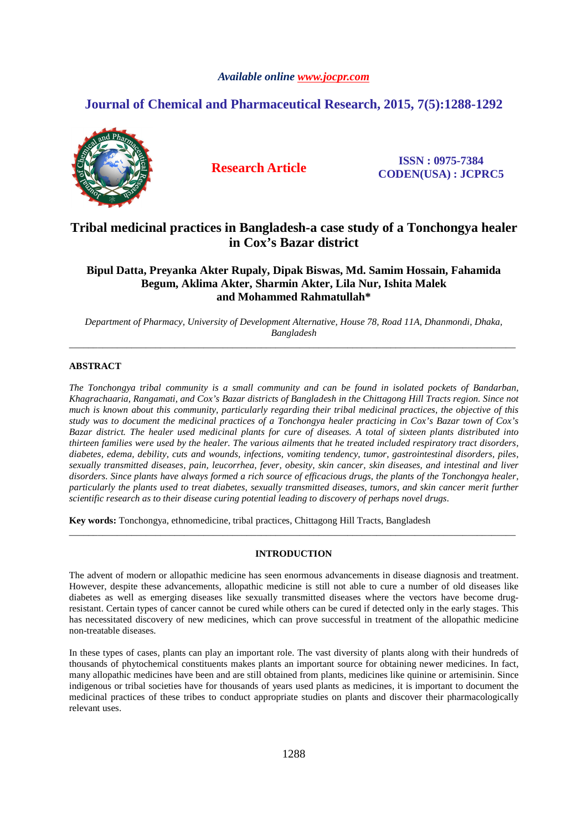# *Available online www.jocpr.com*

# **Journal of Chemical and Pharmaceutical Research, 2015, 7(5):1288-1292**



**Research Article ISSN : 0975-7384 CODEN(USA) : JCPRC5**

# **Tribal medicinal practices in Bangladesh-a case study of a Tonchongya healer in Cox's Bazar district**

**Bipul Datta, Preyanka Akter Rupaly, Dipak Biswas, Md. Samim Hossain, Fahamida Begum, Aklima Akter, Sharmin Akter, Lila Nur, Ishita Malek and Mohammed Rahmatullah\*** 

*Department of Pharmacy, University of Development Alternative, House 78, Road 11A, Dhanmondi, Dhaka, Bangladesh*  \_\_\_\_\_\_\_\_\_\_\_\_\_\_\_\_\_\_\_\_\_\_\_\_\_\_\_\_\_\_\_\_\_\_\_\_\_\_\_\_\_\_\_\_\_\_\_\_\_\_\_\_\_\_\_\_\_\_\_\_\_\_\_\_\_\_\_\_\_\_\_\_\_\_\_\_\_\_\_\_\_\_\_\_\_\_\_\_\_\_\_\_\_

# **ABSTRACT**

*The Tonchongya tribal community is a small community and can be found in isolated pockets of Bandarban, Khagrachaaria, Rangamati, and Cox's Bazar districts of Bangladesh in the Chittagong Hill Tracts region. Since not much is known about this community, particularly regarding their tribal medicinal practices, the objective of this study was to document the medicinal practices of a Tonchongya healer practicing in Cox's Bazar town of Cox's Bazar district. The healer used medicinal plants for cure of diseases. A total of sixteen plants distributed into thirteen families were used by the healer. The various ailments that he treated included respiratory tract disorders, diabetes, edema, debility, cuts and wounds, infections, vomiting tendency, tumor, gastrointestinal disorders, piles, sexually transmitted diseases, pain, leucorrhea, fever, obesity, skin cancer, skin diseases, and intestinal and liver disorders. Since plants have always formed a rich source of efficacious drugs, the plants of the Tonchongya healer, particularly the plants used to treat diabetes, sexually transmitted diseases, tumors, and skin cancer merit further scientific research as to their disease curing potential leading to discovery of perhaps novel drugs.* 

**Key words:** Tonchongya, ethnomedicine, tribal practices, Chittagong Hill Tracts, Bangladesh

## **INTRODUCTION**

\_\_\_\_\_\_\_\_\_\_\_\_\_\_\_\_\_\_\_\_\_\_\_\_\_\_\_\_\_\_\_\_\_\_\_\_\_\_\_\_\_\_\_\_\_\_\_\_\_\_\_\_\_\_\_\_\_\_\_\_\_\_\_\_\_\_\_\_\_\_\_\_\_\_\_\_\_\_\_\_\_\_\_\_\_\_\_\_\_\_\_\_\_

The advent of modern or allopathic medicine has seen enormous advancements in disease diagnosis and treatment. However, despite these advancements, allopathic medicine is still not able to cure a number of old diseases like diabetes as well as emerging diseases like sexually transmitted diseases where the vectors have become drugresistant. Certain types of cancer cannot be cured while others can be cured if detected only in the early stages. This has necessitated discovery of new medicines, which can prove successful in treatment of the allopathic medicine non-treatable diseases.

In these types of cases, plants can play an important role. The vast diversity of plants along with their hundreds of thousands of phytochemical constituents makes plants an important source for obtaining newer medicines. In fact, many allopathic medicines have been and are still obtained from plants, medicines like quinine or artemisinin. Since indigenous or tribal societies have for thousands of years used plants as medicines, it is important to document the medicinal practices of these tribes to conduct appropriate studies on plants and discover their pharmacologically relevant uses.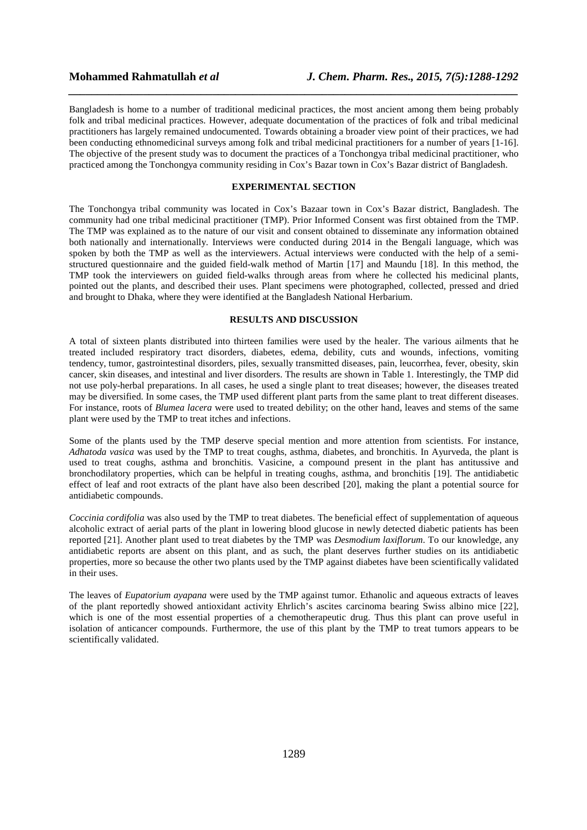Bangladesh is home to a number of traditional medicinal practices, the most ancient among them being probably folk and tribal medicinal practices. However, adequate documentation of the practices of folk and tribal medicinal practitioners has largely remained undocumented. Towards obtaining a broader view point of their practices, we had been conducting ethnomedicinal surveys among folk and tribal medicinal practitioners for a number of years [1-16]. The objective of the present study was to document the practices of a Tonchongya tribal medicinal practitioner, who practiced among the Tonchongya community residing in Cox's Bazar town in Cox's Bazar district of Bangladesh.

*\_\_\_\_\_\_\_\_\_\_\_\_\_\_\_\_\_\_\_\_\_\_\_\_\_\_\_\_\_\_\_\_\_\_\_\_\_\_\_\_\_\_\_\_\_\_\_\_\_\_\_\_\_\_\_\_\_\_\_\_\_\_\_\_\_\_\_\_\_\_\_\_\_\_\_\_\_\_*

#### **EXPERIMENTAL SECTION**

The Tonchongya tribal community was located in Cox's Bazaar town in Cox's Bazar district, Bangladesh. The community had one tribal medicinal practitioner (TMP). Prior Informed Consent was first obtained from the TMP. The TMP was explained as to the nature of our visit and consent obtained to disseminate any information obtained both nationally and internationally. Interviews were conducted during 2014 in the Bengali language, which was spoken by both the TMP as well as the interviewers. Actual interviews were conducted with the help of a semistructured questionnaire and the guided field-walk method of Martin [17] and Maundu [18]. In this method, the TMP took the interviewers on guided field-walks through areas from where he collected his medicinal plants, pointed out the plants, and described their uses. Plant specimens were photographed, collected, pressed and dried and brought to Dhaka, where they were identified at the Bangladesh National Herbarium.

## **RESULTS AND DISCUSSION**

A total of sixteen plants distributed into thirteen families were used by the healer. The various ailments that he treated included respiratory tract disorders, diabetes, edema, debility, cuts and wounds, infections, vomiting tendency, tumor, gastrointestinal disorders, piles, sexually transmitted diseases, pain, leucorrhea, fever, obesity, skin cancer, skin diseases, and intestinal and liver disorders. The results are shown in Table 1. Interestingly, the TMP did not use poly-herbal preparations. In all cases, he used a single plant to treat diseases; however, the diseases treated may be diversified. In some cases, the TMP used different plant parts from the same plant to treat different diseases. For instance, roots of *Blumea lacera* were used to treated debility; on the other hand, leaves and stems of the same plant were used by the TMP to treat itches and infections.

Some of the plants used by the TMP deserve special mention and more attention from scientists. For instance, *Adhatoda vasica* was used by the TMP to treat coughs, asthma, diabetes, and bronchitis. In Ayurveda, the plant is used to treat coughs, asthma and bronchitis. Vasicine, a compound present in the plant has antitussive and bronchodilatory properties, which can be helpful in treating coughs, asthma, and bronchitis [19]. The antidiabetic effect of leaf and root extracts of the plant have also been described [20], making the plant a potential source for antidiabetic compounds.

*Coccinia cordifolia* was also used by the TMP to treat diabetes. The beneficial effect of supplementation of aqueous alcoholic extract of aerial parts of the plant in lowering blood glucose in newly detected diabetic patients has been reported [21]. Another plant used to treat diabetes by the TMP was *Desmodium laxiflorum*. To our knowledge, any antidiabetic reports are absent on this plant, and as such, the plant deserves further studies on its antidiabetic properties, more so because the other two plants used by the TMP against diabetes have been scientifically validated in their uses.

The leaves of *Eupatorium ayapana* were used by the TMP against tumor. Ethanolic and aqueous extracts of leaves of the plant reportedly showed antioxidant activity Ehrlich's ascites carcinoma bearing Swiss albino mice [22], which is one of the most essential properties of a chemotherapeutic drug. Thus this plant can prove useful in isolation of anticancer compounds. Furthermore, the use of this plant by the TMP to treat tumors appears to be scientifically validated.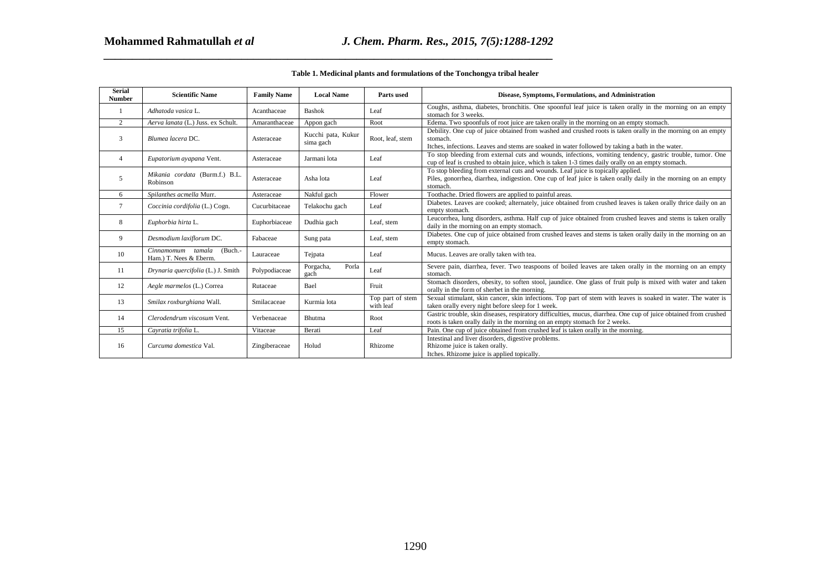| <b>Serial</b><br><b>Number</b> | <b>Scientific Name</b>                                    | <b>Family Name</b> | <b>Local Name</b>               | Parts used                    | Disease, Symptoms, Formulations, and Administration                                                                                                                                                                          |
|--------------------------------|-----------------------------------------------------------|--------------------|---------------------------------|-------------------------------|------------------------------------------------------------------------------------------------------------------------------------------------------------------------------------------------------------------------------|
| 1                              | Adhatoda vasica L.                                        | Acanthaceae        | <b>Bashok</b>                   | Leaf                          | Coughs, asthma, diabetes, bronchitis. One spoonful leaf juice is taken orally in the morning on an empty<br>stomach for 3 weeks.                                                                                             |
| 2                              | Aerva lanata (L.) Juss. ex Schult.                        | Amaranthaceae      | Appon gach                      | Root                          | Edema. Two spoonfuls of root juice are taken orally in the morning on an empty stomach.                                                                                                                                      |
| 3                              | Blumea lacera DC.                                         | Asteraceae         | Kucchi pata, Kukur<br>sima gach | Root, leaf, stem              | Debility. One cup of juice obtained from washed and crushed roots is taken orally in the morning on an empty<br>stomach.<br>Itches, infections. Leaves and stems are soaked in water followed by taking a bath in the water. |
| $\overline{4}$                 | Eupatorium ayapana Vent.                                  | Asteraceae         | Jarmani lota                    | Leaf                          | To stop bleeding from external cuts and wounds, infections, vomiting tendency, gastric trouble, tumor. One<br>cup of leaf is crushed to obtain juice, which is taken 1-3 times daily orally on an empty stomach.             |
| 5                              | Mikania cordata (Burm.f.) B.L.<br>Robinson                | Asteraceae         | Asha lota                       | Leaf                          | To stop bleeding from external cuts and wounds. Leaf juice is topically applied.<br>Piles, gonorrhea, diarrhea, indigestion. One cup of leaf juice is taken orally daily in the morning on an empty<br>stomach.              |
| 6                              | Spilanthes acmella Murr.                                  | Asteraceae         | Nakful gach                     | Flower                        | Toothache. Dried flowers are applied to painful areas.                                                                                                                                                                       |
| $\tau$                         | Coccinia cordifolia (L.) Cogn.                            | Cucurbitaceae      | Telakochu gach                  | Leaf                          | Diabetes. Leaves are cooked; alternately, juice obtained from crushed leaves is taken orally thrice daily on an<br>empty stomach.                                                                                            |
| 8                              | Euphorbia hirta L.                                        | Euphorbiaceae      | Dudhia gach                     | Leaf, stem                    | Leucorrhea, lung disorders, asthma. Half cup of juice obtained from crushed leaves and stems is taken orally<br>daily in the morning on an empty stomach.                                                                    |
| 9                              | Desmodium laxiflorum DC.                                  | Fabaceae           | Sung pata                       | Leaf, stem                    | Diabetes. One cup of juice obtained from crushed leaves and stems is taken orally daily in the morning on an<br>empty stomach.                                                                                               |
| 10                             | Cinnamomum tamala<br>$(Buch. -$<br>Ham.) T. Nees & Eberm. | Lauraceae          | Tejpata                         | Leaf                          | Mucus. Leaves are orally taken with tea.                                                                                                                                                                                     |
| 11                             | Drynaria quercifolia (L.) J. Smith                        | Polypodiaceae      | Porgacha,<br>Porla<br>gach      | Leaf                          | Severe pain, diarrhea, fever. Two teaspoons of boiled leaves are taken orally in the morning on an empty<br>stomach.                                                                                                         |
| 12                             | Aegle marmelos (L.) Correa                                | Rutaceae           | Bael                            | Fruit                         | Stomach disorders, obesity, to soften stool, jaundice. One glass of fruit pulp is mixed with water and taken<br>orally in the form of sherbet in the morning.                                                                |
| 13                             | Smilax roxburghiana Wall.                                 | Smilacaceae        | Kurmia lota                     | Top part of stem<br>with leaf | Sexual stimulant, skin cancer, skin infections. Top part of stem with leaves is soaked in water. The water is<br>taken orally every night before sleep for 1 week.                                                           |
| 14                             | Clerodendrum viscosum Vent.                               | Verbenaceae        | Bhutma                          | Root                          | Gastric trouble, skin diseases, respiratory difficulties, mucus, diarrhea. One cup of juice obtained from crushed<br>roots is taken orally daily in the morning on an empty stomach for 2 weeks.                             |
| 15                             | Cavratia trifolia L.                                      | Vitaceae           | Berati                          | Leaf                          | Pain. One cup of juice obtained from crushed leaf is taken orally in the morning.                                                                                                                                            |
| 16                             | Curcuma domestica Val.                                    | Zingiberaceae      | Holud                           | Rhizome                       | Intestinal and liver disorders, digestive problems.<br>Rhizome juice is taken orally.<br>Itches. Rhizome juice is applied topically.                                                                                         |
|                                |                                                           |                    |                                 |                               |                                                                                                                                                                                                                              |
|                                |                                                           |                    |                                 |                               |                                                                                                                                                                                                                              |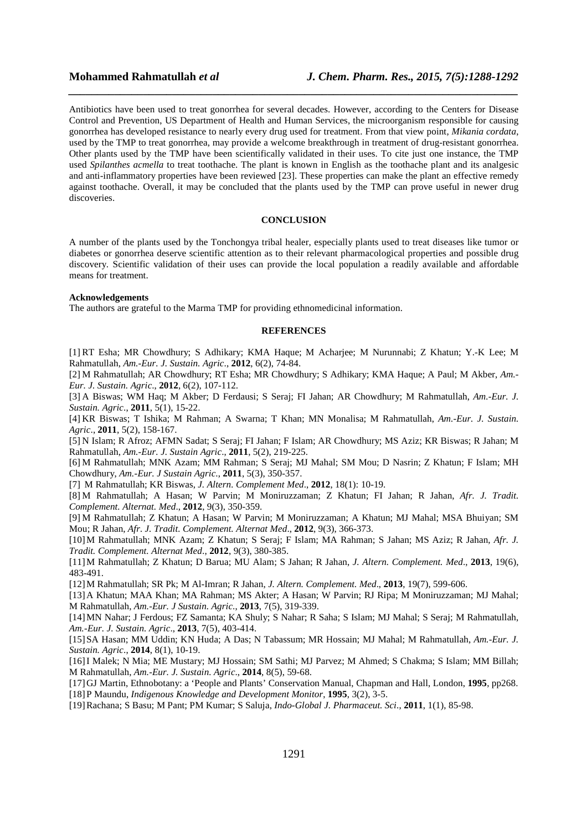Antibiotics have been used to treat gonorrhea for several decades. However, according to the Centers for Disease Control and Prevention, US Department of Health and Human Services, the microorganism responsible for causing gonorrhea has developed resistance to nearly every drug used for treatment. From that view point, *Mikania cordata*, used by the TMP to treat gonorrhea, may provide a welcome breakthrough in treatment of drug-resistant gonorrhea. Other plants used by the TMP have been scientifically validated in their uses. To cite just one instance, the TMP used *Spilanthes acmella* to treat toothache. The plant is known in English as the toothache plant and its analgesic and anti-inflammatory properties have been reviewed [23]. These properties can make the plant an effective remedy against toothache. Overall, it may be concluded that the plants used by the TMP can prove useful in newer drug discoveries.

*\_\_\_\_\_\_\_\_\_\_\_\_\_\_\_\_\_\_\_\_\_\_\_\_\_\_\_\_\_\_\_\_\_\_\_\_\_\_\_\_\_\_\_\_\_\_\_\_\_\_\_\_\_\_\_\_\_\_\_\_\_\_\_\_\_\_\_\_\_\_\_\_\_\_\_\_\_\_*

### **CONCLUSION**

A number of the plants used by the Tonchongya tribal healer, especially plants used to treat diseases like tumor or diabetes or gonorrhea deserve scientific attention as to their relevant pharmacological properties and possible drug discovery. Scientific validation of their uses can provide the local population a readily available and affordable means for treatment.

#### **Acknowledgements**

The authors are grateful to the Marma TMP for providing ethnomedicinal information.

### **REFERENCES**

[1] RT Esha; MR Chowdhury; S Adhikary; KMA Haque; M Acharjee; M Nurunnabi; Z Khatun; Y.-K Lee; M Rahmatullah, *Am.-Eur. J. Sustain. Agric*., **2012**, 6(2), 74-84.

[2] M Rahmatullah; AR Chowdhury; RT Esha; MR Chowdhury; S Adhikary; KMA Haque; A Paul; M Akber, *Am.- Eur. J. Sustain. Agric*., **2012**, 6(2), 107-112.

[3] A Biswas; WM Haq; M Akber; D Ferdausi; S Seraj; FI Jahan; AR Chowdhury; M Rahmatullah, *Am.-Eur. J. Sustain. Agric*., **2011**, 5(1), 15-22.

[4] KR Biswas; T Ishika; M Rahman; A Swarna; T Khan; MN Monalisa; M Rahmatullah, *Am.-Eur. J. Sustain. Agric*., **2011**, 5(2), 158-167.

[5] N Islam; R Afroz; AFMN Sadat; S Seraj; FI Jahan; F Islam; AR Chowdhury; MS Aziz; KR Biswas; R Jahan; M Rahmatullah, *Am.-Eur. J. Sustain Agric*., **2011**, 5(2), 219-225.

[6] M Rahmatullah; MNK Azam; MM Rahman; S Seraj; MJ Mahal; SM Mou; D Nasrin; Z Khatun; F Islam; MH Chowdhury, *Am.-Eur. J Sustain Agric*., **2011**, 5(3), 350-357.

[7] M Rahmatullah; KR Biswas, *J. Altern. Complement Med*., **2012**, 18(1): 10-19.

[8] M Rahmatullah; A Hasan; W Parvin; M Moniruzzaman; Z Khatun; FI Jahan; R Jahan, *Afr. J. Tradit. Complement. Alternat. Med*., **2012**, 9(3), 350-359.

[9] M Rahmatullah; Z Khatun; A Hasan; W Parvin; M Moniruzzaman; A Khatun; MJ Mahal; MSA Bhuiyan; SM Mou; R Jahan, *Afr. J. Tradit. Complement. Alternat Med*., **2012**, 9(3), 366-373.

[10]M Rahmatullah; MNK Azam; Z Khatun; S Seraj; F Islam; MA Rahman; S Jahan; MS Aziz; R Jahan, *Afr. J. Tradit. Complement. Alternat Med*., **2012**, 9(3), 380-385.

[11]M Rahmatullah; Z Khatun; D Barua; MU Alam; S Jahan; R Jahan, *J. Altern. Complement. Med*., **2013**, 19(6), 483-491.

[12]M Rahmatullah; SR Pk; M Al-Imran; R Jahan, *J. Altern. Complement. Med*., **2013**, 19(7), 599-606.

[13]A Khatun; MAA Khan; MA Rahman; MS Akter; A Hasan; W Parvin; RJ Ripa; M Moniruzzaman; MJ Mahal; M Rahmatullah, *Am.-Eur. J Sustain. Agric*., **2013**, 7(5), 319-339.

[14]MN Nahar; J Ferdous; FZ Samanta; KA Shuly; S Nahar; R Saha; S Islam; MJ Mahal; S Seraj; M Rahmatullah, *Am.-Eur. J. Sustain. Agric*., **2013**, 7(5), 403-414.

[15]SA Hasan; MM Uddin; KN Huda; A Das; N Tabassum; MR Hossain; MJ Mahal; M Rahmatullah, *Am.-Eur. J. Sustain. Agric*., **2014**, 8(1), 10-19.

[16]I Malek; N Mia; ME Mustary; MJ Hossain; SM Sathi; MJ Parvez; M Ahmed; S Chakma; S Islam; MM Billah; M Rahmatullah, *Am.-Eur. J. Sustain. Agric*., **2014**, 8(5), 59-68.

[17]GJ Martin, Ethnobotany: a 'People and Plants' Conservation Manual, Chapman and Hall, London, **1995**, pp268. [18]P Maundu, *Indigenous Knowledge and Development Monitor*, **1995**, 3(2), 3-5.

[19]Rachana; S Basu; M Pant; PM Kumar; S Saluja, *Indo-Global J. Pharmaceut. Sci*., **2011**, 1(1), 85-98.